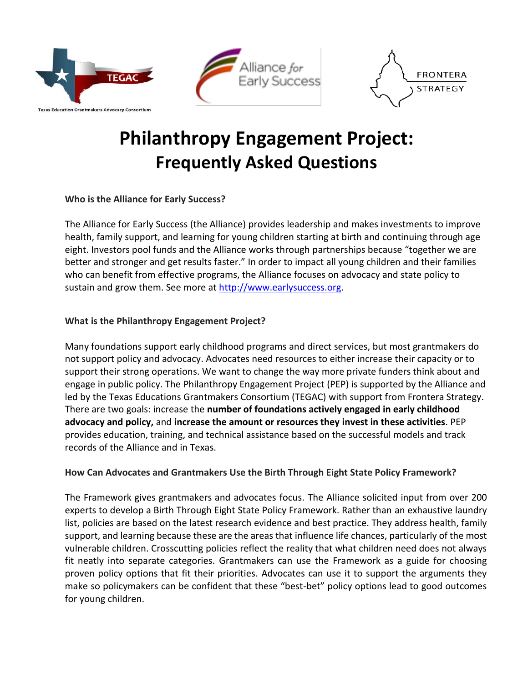

# **Philanthropy Engagement Project: Frequently Asked Questions**

**Who is the Alliance for Early Success?**

The Alliance for Early Success (the Alliance) provides leadership and makes investments to improve health, family support, and learning for young children starting at birth and continuing through age eight. Investors pool funds and the Alliance works through partnerships because "together we are better and stronger and get results faster." In order to impact all young children and their families who can benefit from effective programs, the Alliance focuses on advocacy and state policy to sustain and grow them. See more at [http://www.earlysuccess.org.](http://www.earlysuccess.org/)

#### **What is the Philanthropy Engagement Project?**

Many foundations support early childhood programs and direct services, but most grantmakers do not support policy and advocacy. Advocates need resources to either increase their capacity or to support their strong operations. We want to change the way more private funders think about and engage in public policy. The Philanthropy Engagement Project (PEP) is supported by the Alliance and led by the Texas Educations Grantmakers Consortium (TEGAC) with support from Frontera Strategy. There are two goals: increase the **number of foundations actively engaged in early childhood advocacy and policy,** and **increase the amount or resources they invest in these activities**. PEP provides education, training, and technical assistance based on the successful models and track records of the Alliance and in Texas.

### **How Can Advocates and Grantmakers Use the Birth Through Eight State Policy Framework?**

The Framework gives grantmakers and advocates focus. The Alliance solicited input from over 200 experts to develop a Birth Through Eight State Policy Framework. Rather than an exhaustive laundry list, policies are based on the latest research evidence and best practice. They address health, family support, and learning because these are the areas that influence life chances, particularly of the most vulnerable children. Crosscutting policies reflect the reality that what children need does not always fit neatly into separate categories. Grantmakers can use the Framework as a guide for choosing proven policy options that fit their priorities. Advocates can use it to support the arguments they make so policymakers can be confident that these "best-bet" policy options lead to good outcomes for young children.